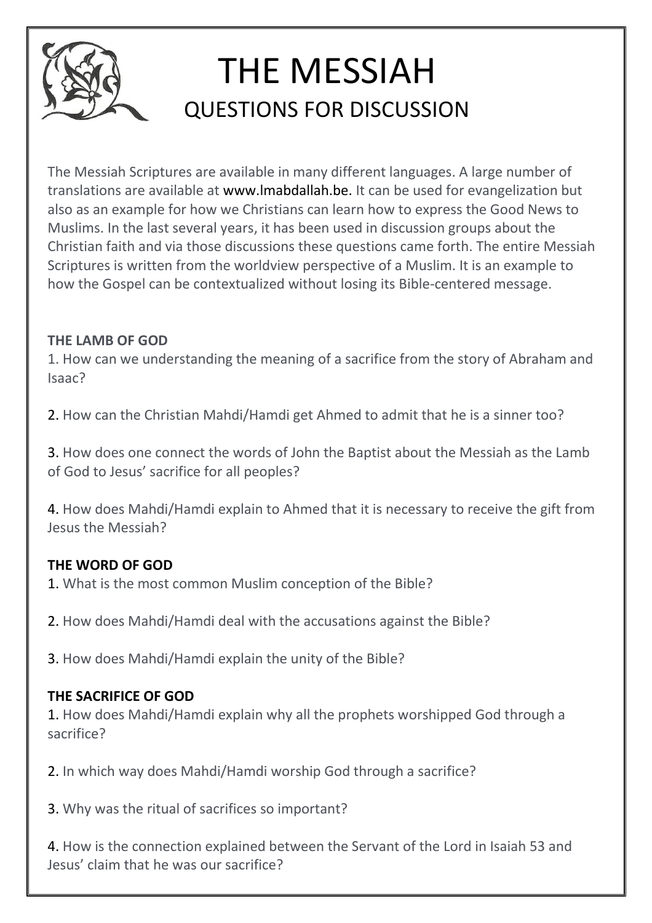

# THE MESSIAH QUESTIONS FOR DISCUSSION

The Messiah Scriptures are available in many different languages. A large number of translations are available at www.lmabdallah.be. It can be used for evangelization but also as an example for how we Christians can learn how to express the Good News to Muslims. In the last several years, it has been used in discussion groups about the Christian faith and via those discussions these questions came forth. The entire Messiah Scriptures is written from the worldview perspective of a Muslim. It is an example to how the Gospel can be contextualized without losing its Bible-centered message.

#### THE LAMB OF GOD

1. How can we understanding the meaning of a sacrifice from the story of Abraham and Isaac?

2. How can the Christian Mahdi/Hamdi get Ahmed to admit that he is a sinner too?

3. How does one connect the words of John the Baptist about the Messiah as the Lamb of God to Jesus' sacrifice for all peoples?

4. How does Mahdi/Hamdi explain to Ahmed that it is necessary to receive the gift from Jesus the Messiah?

# THE WORD OF GOD

1. What is the most common Muslim conception of the Bible?

2. How does Mahdi/Hamdi deal with the accusations against the Bible?

3. How does Mahdi/Hamdi explain the unity of the Bible?

# THE SACRIFICE OF GOD

1. How does Mahdi/Hamdi explain why all the prophets worshipped God through a sacrifice?

2. In which way does Mahdi/Hamdi worship God through a sacrifice?

3. Why was the ritual of sacrifices so important?

4. How is the connection explained between the Servant of the Lord in Isaiah 53 and Jesus' claim that he was our sacrifice?